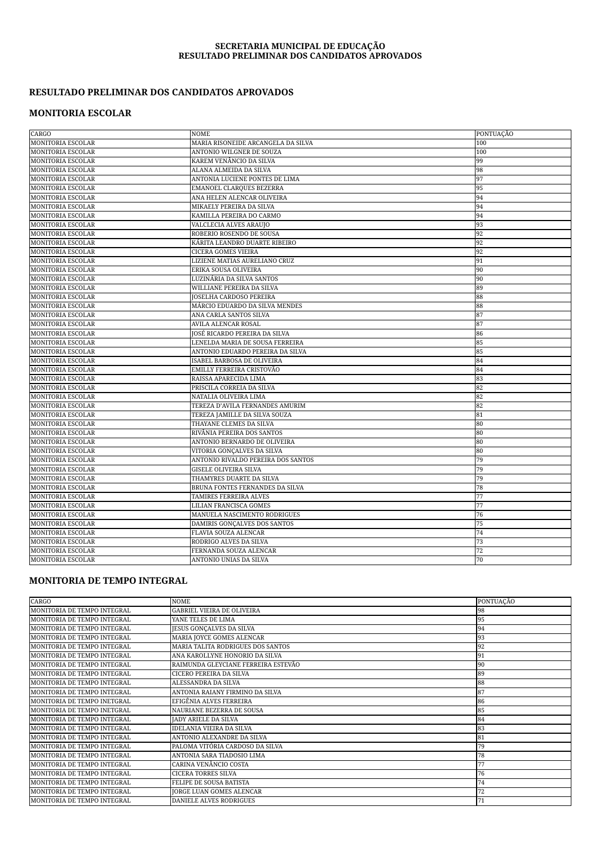#### **SECRETARIA MUNICIPAL DE EDUCAÇÃO RESULTADO PRELIMINAR DOS CANDIDATOS APROVADOS**

### **RESULTADO PRELIMINAR DOS CANDIDATOS APROVADOS**

#### **MONITORIA ESCOLAR**

| CARGO                    | <b>NOME</b>                        | PONTUAÇÃO |
|--------------------------|------------------------------------|-----------|
| <b>MONITORIA ESCOLAR</b> | MARIA RISONEIDE ARCANGELA DA SILVA | 100       |
| <b>MONITORIA ESCOLAR</b> | ANTONIO WILGNER DE SOUZA           | 100       |
| <b>MONITORIA ESCOLAR</b> | KAREM VENÂNCIO DA SILVA            | 99        |
| <b>MONITORIA ESCOLAR</b> | ALANA ALMEIDA DA SILVA             | 98        |
| <b>MONITORIA ESCOLAR</b> | ANTONIA LUCIENE PONTES DE LIMA     | 97        |
| <b>MONITORIA ESCOLAR</b> | EMANOEL CLARQUES BEZERRA           | 95        |
| <b>MONITORIA ESCOLAR</b> | ANA HELEN ALENCAR OLIVEIRA         | 94        |
| <b>MONITORIA ESCOLAR</b> | MIKAELY PEREIRA DA SILVA           | 94        |
| <b>MONITORIA ESCOLAR</b> | KAMILLA PEREIRA DO CARMO           | 94        |
| <b>MONITORIA ESCOLAR</b> | VALCLECIA ALVES ARAUJO             | 93        |
| <b>MONITORIA ESCOLAR</b> | ROBERIO ROSENDO DE SOUSA           | 92        |
| <b>MONITORIA ESCOLAR</b> | KÁRITA LEANDRO DUARTE RIBEIRO      | 92        |
| <b>MONITORIA ESCOLAR</b> | <b>CICERA GOMES VIEIRA</b>         | 92        |
| <b>MONITORIA ESCOLAR</b> | LIZIENE MATIAS AURELIANO CRUZ      | 91        |
| <b>MONITORIA ESCOLAR</b> | ERIKA SOUSA OLIVEIRA               | 90        |
| <b>MONITORIA ESCOLAR</b> | LUZINÁRIA DA SILVA SANTOS          | 90        |
| <b>MONITORIA ESCOLAR</b> | WILLIANE PEREIRA DA SILVA          | 89        |
| <b>MONITORIA ESCOLAR</b> | <b>IOSELHA CARDOSO PEREIRA</b>     | 88        |
| <b>MONITORIA ESCOLAR</b> | MÁRCIO EDUARDO DA SILVA MENDES     | 88        |
| <b>MONITORIA ESCOLAR</b> | ANA CARLA SANTOS SILVA             | 87        |
| <b>MONITORIA ESCOLAR</b> | AVILA ALENCAR ROSAL                | 87        |
| <b>MONITORIA ESCOLAR</b> | JOSÉ RICARDO PEREIRA DA SILVA      | 86        |
| <b>MONITORIA ESCOLAR</b> | LENELDA MARIA DE SOUSA FERREIRA    | 85        |
| <b>MONITORIA ESCOLAR</b> | ANTONIO EDUARDO PEREIRA DA SILVA   | 85        |
| <b>MONITORIA ESCOLAR</b> | ISABEL BARBOSA DE OLIVEIRA         | 84        |
| <b>MONITORIA ESCOLAR</b> | EMILLY FERREIRA CRISTOVÃO          | 84        |
| <b>MONITORIA ESCOLAR</b> | RAISSA APARECIDA LIMA              | 83        |
| <b>MONITORIA ESCOLAR</b> | PRISCILA CORREIA DA SILVA          | 82        |
| <b>MONITORIA ESCOLAR</b> | NATALIA OLIVEIRA LIMA              | 82        |
| <b>MONITORIA ESCOLAR</b> | TEREZA D'AVILA FERNANDES AMURIM    | 82        |
| <b>MONITORIA ESCOLAR</b> | TEREZA JAMILLE DA SILVA SOUZA      | 81        |
| <b>MONITORIA ESCOLAR</b> | THAYANE CLEMES DA SILVA            | 80        |
| MONITORIA ESCOLAR        | RIVÂNIA PEREIRA DOS SANTOS         | 80        |
| <b>MONITORIA ESCOLAR</b> | ANTONIO BERNARDO DE OLIVEIRA       | 80        |
| <b>MONITORIA ESCOLAR</b> | VITORIA GONÇALVES DA SILVA         | 80        |
| <b>MONITORIA ESCOLAR</b> | ANTONIO RIVALDO PEREIRA DOS SANTOS | 79        |
| <b>MONITORIA ESCOLAR</b> | <b>GISELE OLIVEIRA SILVA</b>       | 79        |
| <b>MONITORIA ESCOLAR</b> | THAMYRES DUARTE DA SILVA           | 79        |
| <b>MONITORIA ESCOLAR</b> | BRUNA FONTES FERNANDES DA SILVA    | 78        |
| <b>MONITORIA ESCOLAR</b> | TAMIRES FERREIRA ALVES             | 77        |
| <b>MONITORIA ESCOLAR</b> | LILIAN FRANCISCA GOMES             | 77        |
| <b>MONITORIA ESCOLAR</b> | MANUELA NASCIMENTO RODRIGUES       | 76        |
| <b>MONITORIA ESCOLAR</b> | DAMIRIS GONÇALVES DOS SANTOS       | 75        |
| <b>MONITORIA ESCOLAR</b> | FLAVIA SOUZA ALENCAR               | 74        |
| <b>MONITORIA ESCOLAR</b> | RODRIGO ALVES DA SILVA             | 73        |
| <b>MONITORIA ESCOLAR</b> | FERNANDA SOUZA ALENCAR             | 72        |
| <b>MONITORIA ESCOLAR</b> | ANTONIO UNIAS DA SILVA             | 70        |

### **MONITORIA DE TEMPO INTEGRAL**

| CARGO                       | <b>NOME</b>                         | PONTUAÇÃO |
|-----------------------------|-------------------------------------|-----------|
| MONITORIA DE TEMPO INTEGRAL | <b>GABRIEL VIEIRA DE OLIVEIRA</b>   | 98        |
| MONITORIA DE TEMPO INTEGRAL | YANE TELES DE LIMA                  | 95        |
| MONITORIA DE TEMPO INTEGRAL | <b>JESUS GONCALVES DA SILVA</b>     | 94        |
| MONITORIA DE TEMPO INTEGRAL | MARIA JOYCE GOMES ALENCAR           | 93        |
| MONITORIA DE TEMPO INTEGRAL | MARIA TALITA RODRIGUES DOS SANTOS   | 92        |
| MONITORIA DE TEMPO INTEGRAL | ANA KAROLLYNE HONORIO DA SILVA      | 91        |
| MONITORIA DE TEMPO INTEGRAL | RAIMUNDA GLEYCIANE FERREIRA ESTEVÃO | 90        |
| MONITORIA DE TEMPO INTEGRAL | CICERO PEREIRA DA SILVA             | 89        |
| MONITORIA DE TEMPO INTEGRAL | ALESSANDRA DA SILVA                 | 88        |
| MONITORIA DE TEMPO INTEGRAL | ANTONIA RAIANY FIRMINO DA SILVA     | 87        |
| MONITORIA DE TEMPO INETGRAL | EFIGÊNIA ALVES FERREIRA             | 86        |
| MONITORIA DE TEMPO INETGRAL | NAURIANE BEZERRA DE SOUSA           | 85        |
| MONITORIA DE TEMPO INTEGRAL | <b>JADY ARIELE DA SILVA</b>         | 84        |
| MONITORIA DE TEMPO INTEGRAL | <b>IDELANIA VIEIRA DA SILVA</b>     | 83        |
| MONITORIA DE TEMPO INTEGRAL | ANTONIO ALEXANDRE DA SILVA          | 81        |
| MONITORIA DE TEMPO INTEGRAL | PALOMA VITÓRIA CARDOSO DA SILVA     | 79        |
| MONITORIA DE TEMPO INTEGRAL | ANTONIA SARA TIADOSIO LIMA          | 78        |
| MONITORIA DE TEMPO INTEGRAL | CARINA VENÂNCIO COSTA               | 77        |
| MONITORIA DE TEMPO INTEGRAL | CICERA TORRES SILVA                 | 76        |
| MONITORIA DE TEMPO INTEGRAL | FELIPE DE SOUSA BATISTA             | 74        |
| MONITORIA DE TEMPO INTEGRAL | <b>JORGE LUAN GOMES ALENCAR</b>     | 72        |
| MONITORIA DE TEMPO INTEGRAL | <b>DANIELE ALVES RODRIGUES</b>      | 71        |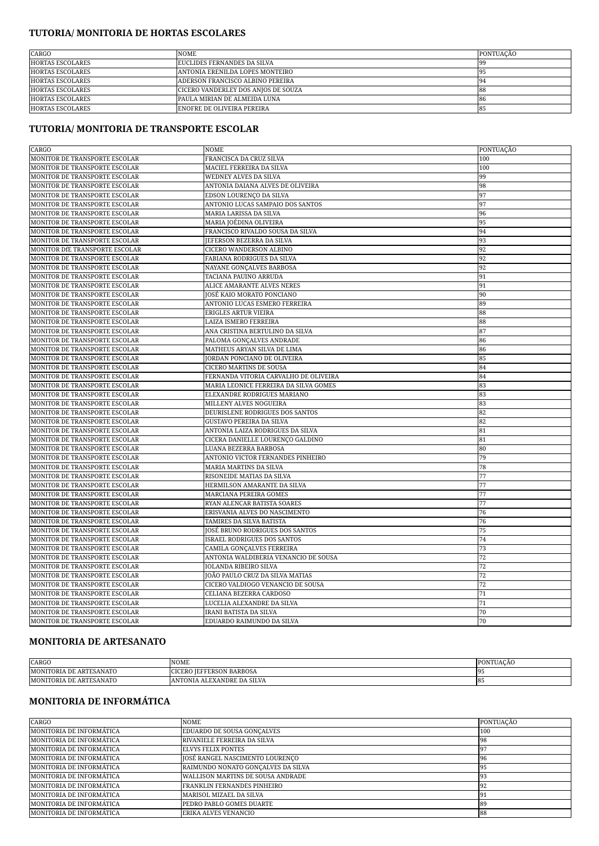### **TUTORIA/ MONITORIA DE HORTAS ESCOLARES**

| CARGO                   | <b>NOME</b>                         | PONTUACÃO |
|-------------------------|-------------------------------------|-----------|
| <b>HORTAS ESCOLARES</b> | <b>FUCLIDES FERNANDES DA SILVA</b>  | - 195     |
| <b>HORTAS ESCOLARES</b> | ANTONIA ERENILDA LOPES MONTEIRO     | 195       |
| <b>HORTAS ESCOLARES</b> | ADERSON FRANCISCO ALBINO PEREIRA    | 194       |
| <b>HORTAS ESCOLARES</b> | CICERO VANDERLEY DOS ANIOS DE SOUZA | - 188     |
| <b>HORTAS ESCOLARES</b> | PAULA MIRIAN DE ALMEIDA LUNA        | -86       |
| <b>HORTAS ESCOLARES</b> | <b>ENOFRE DE OLIVEIRA PEREIRA</b>   | - 85      |

### **TUTORIA/ MONITORIA DE TRANSPORTE ESCOLAR**

| CARGO                          | NOME                                  | PONTUAÇÃO |
|--------------------------------|---------------------------------------|-----------|
| MONITOR DE TRANSPORTE ESCOLAR  | FRANCISCA DA CRUZ SILVA               | 100       |
| MONITOR DE TRANSPORTE ESCOLAR  | MACIEL FERREIRA DA SILVA              | 100       |
| MONITOR DE TRANSPORTE ESCOLAR  | WEDNEY ALVES DA SILVA                 | 99        |
| MONITOR DE TRANSPORTE ESCOLAR  | ANTONIA DAIANA ALVES DE OLIVEIRA      | 98        |
| MONITOR DE TRANSPORTE ESCOLAR  | EDSON LOURENÇO DA SILVA               | 97        |
| MONITOR DE TRANSPORTE ESCOLAR  | ANTONIO LUCAS SAMPAIO DOS SANTOS      | 97        |
| MONITOR DE TRANSPORTE ESCOLAR  | MARIA LARISSA DA SILVA                | 96        |
| MONITOR DE TRANSPORTE ESCOLAR  | MARIA JOÉDINA OLIVEIRA                | 95        |
| MONITOR DE TRANSPORTE ESCOLAR  | FRANCISCO RIVALDO SOUSA DA SILVA      | 94        |
| MONITOR DE TRANSPORTE ESCOLAR  | JEFERSON BEZERRA DA SILVA             | 93        |
| MONITOR DfE TRANSPORTE ESCOLAR | CICERO WANDERSON ALBINO               | 92        |
| MONITOR DE TRANSPORTE ESCOLAR  | FABIANA RODRIGUES DA SILVA            | 92        |
| MONITOR DE TRANSPORTE ESCOLAR  | NAYANE GONÇALVES BARBOSA              | 92        |
| MONITOR DE TRANSPORTE ESCOLAR  | TACIANA PAUINO ARRUDA                 | 91        |
| MONITOR DE TRANSPORTE ESCOLAR  | ALICE AMARANTE ALVES NERES            | 91        |
| MONITOR DE TRANSPORTE ESCOLAR  | JOSÉ KAIO MORATO PONCIANO             | 90        |
| MONITOR DE TRANSPORTE ESCOLAR  | ANTONIO LUCAS ESMERO FERREIRA         | 89        |
| MONITOR DE TRANSPORTE ESCOLAR  | ERIGLES ARTUR VIEIRA                  | 88        |
| MONITOR DE TRANSPORTE ESCOLAR  | LAIZA ISMERO FERREIRA                 | 88        |
| MONITOR DE TRANSPORTE ESCOLAR  | ANA CRISTINA BERTULINO DA SILVA       | 87        |
| MONITOR DE TRANSPORTE ESCOLAR  | PALOMA GONÇALVES ANDRADE              | 86        |
| MONITOR DE TRANSPORTE ESCOLAR  | MATHEUS ARYAN SILVA DE LIMA           | 86        |
| MONITOR DE TRANSPORTE ESCOLAR  | JORDAN PONCIANO DE OLIVEIRA           | 85        |
| MONITOR DE TRANSPORTE ESCOLAR  | CICERO MARTINS DE SOUSA               | 84        |
| MONITOR DE TRANSPORTE ESCOLAR  | FERNANDA VITORIA CARVALHO DE OLIVEIRA | 84        |
| MONITOR DE TRANSPORTE ESCOLAR  | MARIA LEONICE FERREIRA DA SILVA GOMES | 83        |
| MONITOR DE TRANSPORTE ESCOLAR  | ELEXANDRE RODRIGUES MARIANO           | 83        |
| MONITOR DE TRANSPORTE ESCOLAR  | MILLENY ALVES NOGUEIRA                | 83        |
| MONITOR DE TRANSPORTE ESCOLAR  | DEURISLENE RODRIGUES DOS SANTOS       | 82        |
| MONITOR DE TRANSPORTE ESCOLAR  | GUSTAVO PEREIRA DA SILVA              | 82        |
| MONITOR DE TRANSPORTE ESCOLAR  | ANTONIA LAIZA RODRIGUES DA SILVA      | 81        |
| MONITOR DE TRANSPORTE ESCOLAR  | CICERA DANIELLE LOURENÇO GALDINO      | 81        |
| MONITOR DE TRANSPORTE ESCOLAR  | LUANA BEZERRA BARBOSA                 | 80        |
| MONITOR DE TRANSPORTE ESCOLAR  | ANTONIO VICTOR FERNANDES PINHEIRO     | 79        |
| MONITOR DE TRANSPORTE ESCOLAR  | MARIA MARTINS DA SILVA                | 78        |
| MONITOR DE TRANSPORTE ESCOLAR  | RISONEIDE MATIAS DA SILVA             | 77        |
| MONITOR DE TRANSPORTE ESCOLAR  | HERMILSON AMARANTE DA SILVA           | 77        |
| MONITOR DE TRANSPORTE ESCOLAR  | MARCIANA PEREIRA GOMES                | 77        |
| MONITOR DE TRANSPORTE ESCOLAR  | RYAN ALENCAR BATISTA SOARES           | 77        |
| MONITOR DE TRANSPORTE ESCOLAR  | ERISVANIA ALVES DO NASCIMENTO         | 76        |
| MONITOR DE TRANSPORTE ESCOLAR  | TAMIRES DA SILVA BATISTA              | 76        |
| MONITOR DE TRANSPORTE ESCOLAR  | JOSÉ BRUNO RODRIGUES DOS SANTOS       | 75        |
| MONITOR DE TRANSPORTE ESCOLAR  | ISRAEL RODRIGUES DOS SANTOS           | 74        |
| MONITOR DE TRANSPORTE ESCOLAR  | CAMILA GONÇALVES FERREIRA             | 73        |
| MONITOR DE TRANSPORTE ESCOLAR  | ANTONIA WALDIBERIA VENANCIO DE SOUSA  | 72        |
| MONITOR DE TRANSPORTE ESCOLAR  | IOLANDA RIBEIRO SILVA                 | 72        |
| MONITOR DE TRANSPORTE ESCOLAR  | JOÃO PAULO CRUZ DA SILVA MATIAS       | 72        |
| MONITOR DE TRANSPORTE ESCOLAR  | CICERO VALDIOGO VENANCIO DE SOUSA     | 72        |
| MONITOR DE TRANSPORTE ESCOLAR  | CELIANA BEZERRA CARDOSO               | 71        |
| MONITOR DE TRANSPORTE ESCOLAR  | LUCELIA ALEXANDRE DA SILVA            | 71        |
| MONITOR DE TRANSPORTE ESCOLAR  | IRANI BATISTA DA SILVA                | 70        |
| MONITOR DE TRANSPORTE ESCOLAR  | EDUARDO RAIMUNDO DA SILVA             | 70        |

### **MONITORIA DE ARTESANATO**

| <b>CARGO</b>                                             | <b>NOME</b>                                | ONTUACAC |
|----------------------------------------------------------|--------------------------------------------|----------|
| <b>ESANATO</b><br><b>MONI</b><br>.)RIA<br>. ART"<br>. DF | <b>FERSON BARBOSA</b><br>:DC<br>.CLNC<br>. | ıΩ       |
| . ARTESANATO<br><b>MONI</b><br>ORIA DE                   | ALEXANDRE DA SILVA<br>TONIA<br>ıд          | 18.      |

## **MONITORIA DE INFORMÁTICA**

| CARGO                    | <b>NOME</b>                        | PONTUAÇÃO  |
|--------------------------|------------------------------------|------------|
| MONITORIA DE INFORMÁTICA | EDUARDO DE SOUSA GONÇALVES         | 100        |
| MONITORIA DE INFORMÁTICA | RIVANIELE FERREIRA DA SILVA        | <b>98</b>  |
| MONITORIA DE INFORMÁTICA | <b>ELVYS FELIX PONTES</b>          | -97        |
| MONITORIA DE INFORMÁTICA | JOSÉ RANGEL NASCIMENTO LOURENCO    | <b>196</b> |
| MONITORIA DE INFORMÁTICA | RAIMUNDO NONATO GONÇALVES DA SILVA | 95         |
| MONITORIA DE INFORMÁTICA | WALLISON MARTINS DE SOUSA ANDRADE  | 193        |
| MONITORIA DE INFORMÁTICA | FRANKLIN FERNANDES PINHEIRO        | <b>92</b>  |
| MONITORIA DE INFORMÁTICA | <b>MARISOL MIZAEL DA SILVA</b>     | 191        |
| MONITORIA DE INFORMÁTICA | PEDRO PABLO GOMES DUARTE           | <b>189</b> |
| MONITORIA DE INFORMÁTICA | <b>ERIKA ALVES VENANCIO</b>        | 88         |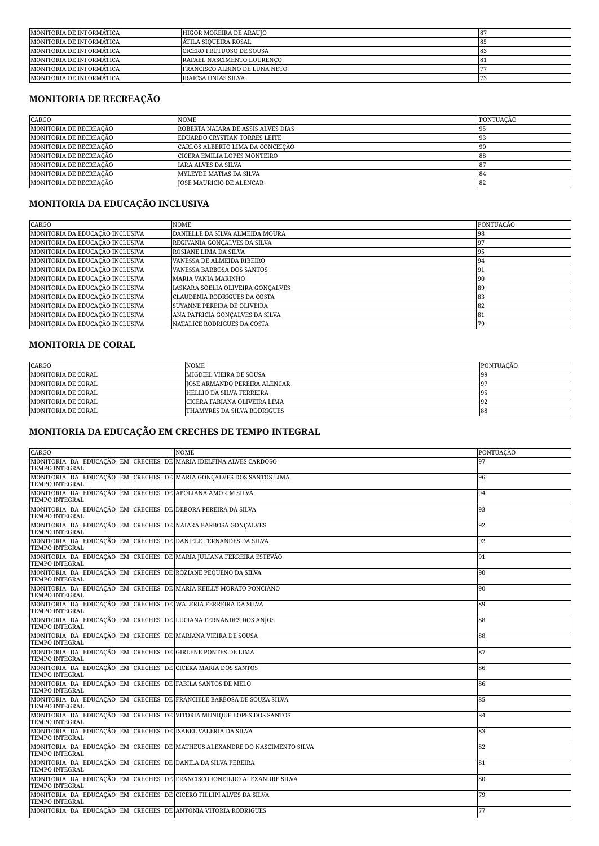| MONITORIA DE INFORMÁTICA | HIGOR MOREIRA DE ARAUJO              |  |
|--------------------------|--------------------------------------|--|
| MONITORIA DE INFORMÁTICA | ATILA SIOUEIRA ROSAL                 |  |
| MONITORIA DE INFORMÁTICA | ICICERO FRUTUOSO DE SOUSA            |  |
| MONITORIA DE INFORMÁTICA | RAFAEL NASCIMENTO LOURENCO           |  |
| MONITORIA DE INFORMÁTICA | <b>FRANCISCO ALBINO DE LUNA NETO</b> |  |
| MONITORIA DE INFORMATICA | IRAICSA UNIAS SILVA                  |  |

# **MONITORIA DE RECREAÇÃO**

| CARGO                  | <b>NOME</b>                        | PONTUACÃO |
|------------------------|------------------------------------|-----------|
| MONITORIA DE RECREAÇÃO | ROBERTA NAIARA DE ASSIS ALVES DIAS | -95       |
| MONITORIA DE RECREAÇÃO | EDUARDO CRYSTIAN TORRES LEITE      | -93       |
| MONITORIA DE RECREAÇÃO | CARLOS ALBERTO LIMA DA CONCEICÃO   | 190       |
| MONITORIA DE RECREAÇÃO | CICERA EMILIA LOPES MONTEIRO       | 88        |
| MONITORIA DE RECREAÇÃO | <b>JARA ALVES DA SILVA</b>         |           |
| MONITORIA DE RECREAÇÃO | <b>MYLEYDE MATIAS DA SILVA</b>     | 184       |
| MONITORIA DE RECREAÇÃO | <b>JOSE MAURICIO DE ALENCAR</b>    | -82       |

# **MONITORIA DA EDUCAÇÃO INCLUSIVA**

| CARGO                           | <b>NOME</b>                       | PONTUAÇÃO |
|---------------------------------|-----------------------------------|-----------|
| MONITORIA DA EDUCAÇÃO INCLUSIVA | DANIELLE DA SILVA ALMEIDA MOURA   |           |
| MONITORIA DA EDUCAÇÃO INCLUSIVA | REGIVANIA GONCALVES DA SILVA      |           |
| MONITORIA DA EDUCAÇÃO INCLUSIVA | ROSIANE LIMA DA SILVA             |           |
| MONITORIA DA EDUCAÇÃO INCLUSIVA | VANESSA DE ALMEIDA RIBEIRO        |           |
| MONITORIA DA EDUCAÇÃO INCLUSIVA | <b>VANESSA BARBOSA DOS SANTOS</b> |           |
| MONITORIA DA EDUCAÇÃO INCLUSIVA | <b>MARIA VANIA MARINHO</b>        | -90       |
| MONITORIA DA EDUCAÇÃO INCLUSIVA | IASKARA SOELIA OLIVEIRA GONCALVES |           |
| MONITORIA DA EDUCAÇÃO INCLUSIVA | CLAUDENIA RODRIGUES DA COSTA      |           |
| MONITORIA DA EDUCAÇÃO INCLUSIVA | SUYANNE PEREIRA DE OLIVEIRA       | 82        |
| MONITORIA DA EDUCAÇÃO INCLUSIVA | ANA PATRICIA GONÇALVES DA SILVA   | -81       |
| MONITORIA DA EDUCAÇÃO INCLUSIVA | NATALICE RODRIGUES DA COSTA       |           |

### **MONITORIA DE CORAL**

| CARGO              | <b>NOME</b>                         | PONTUACÃO |
|--------------------|-------------------------------------|-----------|
| MONITORIA DE CORAL | MIGDIEL VIEIRA DE SOUSA             |           |
| MONITORIA DE CORAL | <b>JOSE ARMANDO PEREIRA ALENCAR</b> |           |
| MONITORIA DE CORAL | HÉLLIO DA SILVA FERREIRA            |           |
| MONITORIA DE CORAL | CICERA FABIANA OLIVEIRA LIMA        |           |
| MONITORIA DE CORAL | THAMYRES DA SILVA RODRIGUES         | -88       |

# **MONITORIA DA EDUCAÇÃO EM CRECHES DE TEMPO INTEGRAL**

| CARGO                                                                                           | <b>NOME</b>                                                               | PONTUAÇÃO |
|-------------------------------------------------------------------------------------------------|---------------------------------------------------------------------------|-----------|
| MONITORIA DA EDUCAÇÃO EM CRECHES DE MARIA IDELFINA ALVES CARDOSO<br><b>TEMPO INTEGRAL</b>       |                                                                           | 97        |
| MONITORIA DA EDUCAÇÃO EM CRECHES DE MARIA GONÇALVES DOS SANTOS LIMA<br>TEMPO INTEGRAL           |                                                                           | 96        |
| MONITORIA DA EDUCAÇÃO EM CRECHES DE APOLIANA AMORIM SILVA<br>TEMPO INTEGRAL                     |                                                                           | 94        |
| MONITORIA DA EDUCAÇÃO EM CRECHES DE DEBORA PEREIRA DA SILVA<br>TEMPO INTEGRAL                   |                                                                           | 93        |
| MONITORIA DA EDUCAÇÃO EM CRECHES DE NAIARA BARBOSA GONÇALVES<br>TEMPO INTEGRAL                  |                                                                           | 92        |
| MONITORIA DA EDUCAÇÃO EM CRECHES DE DANIELE FERNANDES DA SILVA<br><b>TEMPO INTEGRAL</b>         |                                                                           | 92        |
| MONITORIA DA EDUCAÇÃO EM CRECHES DE MARIA JULIANA FERREIRA ESTEVÃO<br><b>TEMPO INTEGRAL</b>     |                                                                           | 91        |
| MONITORIA DA EDUCAÇÃO EM CRECHES DE ROZIANE PEQUENO DA SILVA<br><b>TEMPO INTEGRAL</b>           |                                                                           | 90        |
| MONITORIA DA EDUCAÇÃO EM CRECHES DE MARIA KEILLY MORATO PONCIANO<br><b>TEMPO INTEGRAL</b>       |                                                                           | 90        |
| MONITORIA DA EDUCAÇÃO EM CRECHES DE WALERIA FERREIRA DA SILVA<br><b>TEMPO INTEGRAL</b>          |                                                                           | 89        |
| MONITORIA DA EDUCAÇÃO EM CRECHES DE LUCIANA FERNANDES DOS ANJOS<br><b>TEMPO INTEGRAL</b>        |                                                                           | 88        |
| MONITORIA DA EDUCAÇÃO EM CRECHES DE MARIANA VIEIRA DE SOUSA<br><b>TEMPO INTEGRAL</b>            |                                                                           | 88        |
| MONITORIA DA EDUCAÇÃO EM CRECHES DE GIRLENE PONTES DE LIMA<br><b>TEMPO INTEGRAL</b>             |                                                                           | 87        |
| MONITORIA DA EDUCAÇÃO EM CRECHES DE CICERA MARIA DOS SANTOS<br><b>TEMPO INTEGRAL</b>            |                                                                           | 86        |
| MONITORIA DA EDUCAÇÃO EM CRECHES DE FABILA SANTOS DE MELO<br>TEMPO INTEGRAL                     |                                                                           | 86        |
| MONITORIA DA EDUCAÇÃO EM CRECHES DE FRANCIELE BARBOSA DE SOUZA SILVA<br>TEMPO INTEGRAL          |                                                                           | 85        |
| MONITORIA DA EDUCAÇÃO EM CRECHES DE VITORIA MUNIQUE LOPES DOS SANTOS<br><b>TEMPO INTEGRAL</b>   |                                                                           | 84        |
| MONITORIA DA EDUCAÇÃO EM CRECHES DE ISABEL VALÉRIA DA SILVA<br>TEMPO INTEGRAL                   |                                                                           | 83        |
| <b>TEMPO INTEGRAL</b>                                                                           | MONITORIA DA EDUCAÇÃO EM CRECHES DE MATHEUS ALEXANDRE DO NASCIMENTO SILVA | 82        |
| MONITORIA DA EDUCAÇÃO EM CRECHES DE DANILA DA SILVA PEREIRA<br>TEMPO INTEGRAL                   |                                                                           | 81        |
| MONITORIA DA EDUCAÇÃO EM CRECHES DE FRANCISCO IONEILDO ALEXANDRE SILVA<br><b>TEMPO INTEGRAL</b> |                                                                           | 80        |
| MONITORIA DA EDUCAÇÃO EM CRECHES DE CICERO FILLIPI ALVES DA SILVA<br><b>TEMPO INTEGRAL</b>      |                                                                           | 79        |
| MONITORIA DA EDUCAÇÃO EM CRECHES DE ANTONIA VITORIA RODRIGUES                                   |                                                                           | 77        |